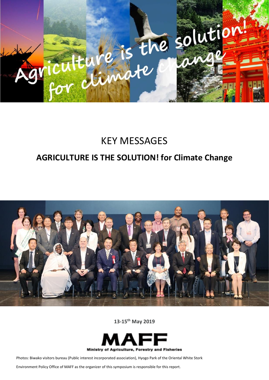

## KEY MESSAGES

## **AGRICULTURE IS THE SOLUTION! for Climate Change**



**13-15th May 2019**



Photos: Biwako visitors bureau (Public interest incorporated association), Hyogo Park of the Oriental White Stork

Environment Policy Office of MAFF as the organizer of this symposium is responsible for this report.